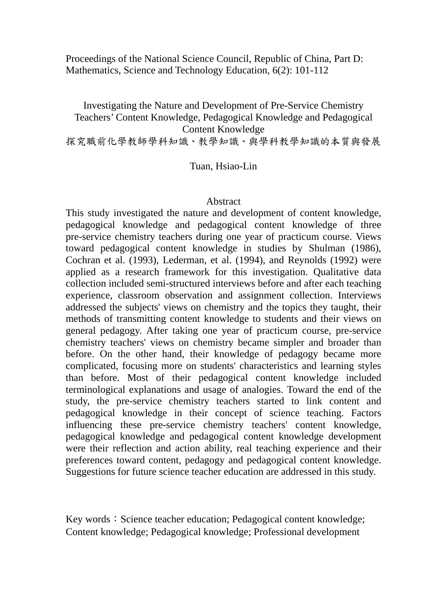Proceedings of the National Science Council, Republic of China, Part D: Mathematics, Science and Technology Education, 6(2): 101-112

Investigating the Nature and Development of Pre-Service Chemistry Teachers' Content Knowledge, Pedagogical Knowledge and Pedagogical Content Knowledge

探究職前化學教師學科知識、教學知識、與學科教學知識的本質與發展

Tuan, Hsiao-Lin

## Abstract

This study investigated the nature and development of content knowledge, pedagogical knowledge and pedagogical content knowledge of three pre-service chemistry teachers during one year of practicum course. Views toward pedagogical content knowledge in studies by Shulman (1986), Cochran et al. (1993), Lederman, et al. (1994), and Reynolds (1992) were applied as a research framework for this investigation. Qualitative data collection included semi-structured interviews before and after each teaching experience, classroom observation and assignment collection. Interviews addressed the subjects' views on chemistry and the topics they taught, their methods of transmitting content knowledge to students and their views on general pedagogy. After taking one year of practicum course, pre-service chemistry teachers' views on chemistry became simpler and broader than before. On the other hand, their knowledge of pedagogy became more complicated, focusing more on students' characteristics and learning styles than before. Most of their pedagogical content knowledge included terminological explanations and usage of analogies. Toward the end of the study, the pre-service chemistry teachers started to link content and pedagogical knowledge in their concept of science teaching. Factors influencing these pre-service chemistry teachers' content knowledge, pedagogical knowledge and pedagogical content knowledge development were their reflection and action ability, real teaching experience and their preferences toward content, pedagogy and pedagogical content knowledge. Suggestions for future science teacher education are addressed in this study.

Key words: Science teacher education; Pedagogical content knowledge; Content knowledge; Pedagogical knowledge; Professional development